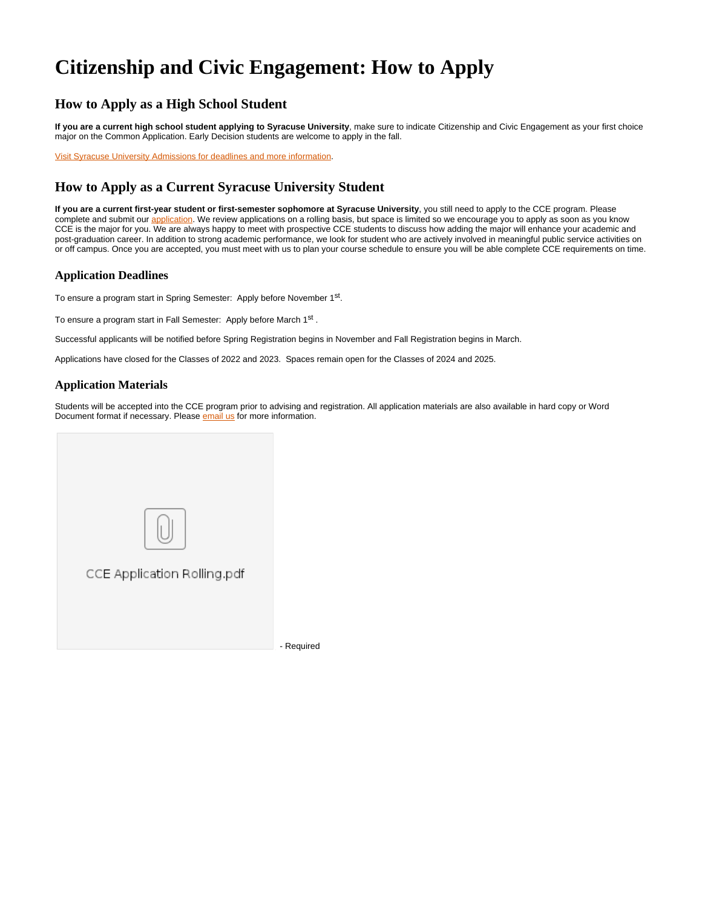# **Citizenship and Civic Engagement: How to Apply**

### **How to Apply as a High School Student**

**If you are a current high school student applying to Syracuse University**, make sure to indicate Citizenship and Civic Engagement as your first choice major on the Common Application. Early Decision students are welcome to apply in the fall.

[Visit Syracuse University Admissions for deadlines and more information.](https://www.syracuse.edu/admissions/undergraduate/apply)

## **How to Apply as a Current Syracuse University Student**

**If you are a current first-year student or first-semester sophomore at Syracuse University**, you still need to apply to the CCE program. Please complete and submit our [application](https://www.maxwell.syr.edu/uploadedFiles/citizenship_and_civic_engagement/admissions/CCE Application Rolling.pdf). We review applications on a rolling basis, but space is limited so we encourage you to apply as soon as you know CCE is the major for you. We are always happy to meet with prospective CCE students to discuss how adding the major will enhance your academic and post-graduation career. In addition to strong academic performance, we look for student who are actively involved in meaningful public service activities on or off campus. Once you are accepted, you must meet with us to plan your course schedule to ensure you will be able complete CCE requirements on time.

#### **Application Deadlines**

To ensure a program start in Spring Semester: Apply before November 1<sup>st</sup>.

To ensure a program start in Fall Semester: Apply before March 1<sup>st</sup>.

Successful applicants will be notified before Spring Registration begins in November and Fall Registration begins in March.

Applications have closed for the Classes of 2022 and 2023. Spaces remain open for the Classes of 2024 and 2025.

#### **Application Materials**

Students will be accepted into the CCE program prior to advising and registration. All application materials are also available in hard copy or Word Document format if necessary. Please **email us** for more information.



- Required